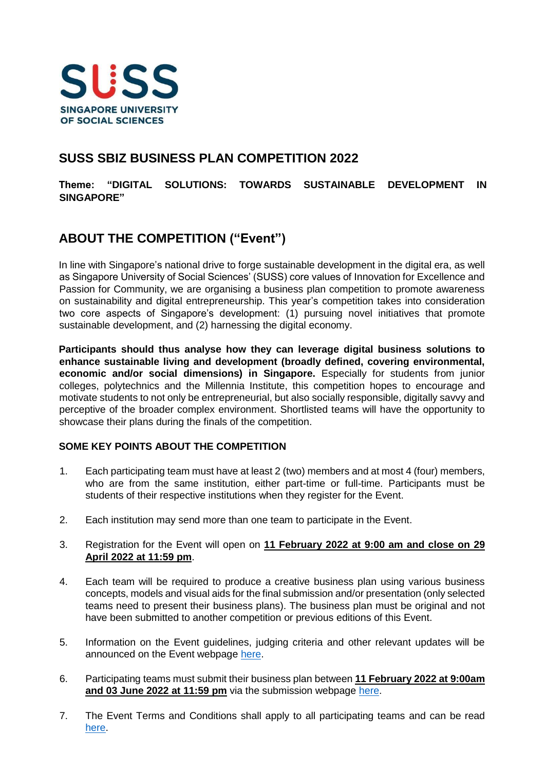

## **SUSS SBIZ BUSINESS PLAN COMPETITION 2022**

**Theme: "DIGITAL SOLUTIONS: TOWARDS SUSTAINABLE DEVELOPMENT IN SINGAPORE"** 

# **ABOUT THE COMPETITION ("Event")**

In line with Singapore's national drive to forge sustainable development in the digital era, as well as Singapore University of Social Sciences' (SUSS) core values of Innovation for Excellence and Passion for Community, we are organising a business plan competition to promote awareness on sustainability and digital entrepreneurship. This year's competition takes into consideration two core aspects of Singapore's development: (1) pursuing novel initiatives that promote sustainable development, and (2) harnessing the digital economy.

**Participants should thus analyse how they can leverage digital business solutions to enhance sustainable living and development (broadly defined, covering environmental, economic and/or social dimensions) in Singapore.** Especially for students from junior colleges, polytechnics and the Millennia Institute, this competition hopes to encourage and motivate students to not only be entrepreneurial, but also socially responsible, digitally savvy and perceptive of the broader complex environment. Shortlisted teams will have the opportunity to showcase their plans during the finals of the competition.

### **SOME KEY POINTS ABOUT THE COMPETITION**

- 1. Each participating team must have at least 2 (two) members and at most 4 (four) members, who are from the same institution, either part-time or full-time. Participants must be students of their respective institutions when they register for the Event.
- 2. Each institution may send more than one team to participate in the Event.
- 3. Registration for the Event will open on **11 February 2022 at 9:00 am and close on 29 April 2022 at 11:59 pm**.
- 4. Each team will be required to produce a creative business plan using various business concepts, models and visual aids for the final submission and/or presentation (only selected teams need to present their business plans). The business plan must be original and not have been submitted to another competition or previous editions of this Event.
- 5. Information on the Event guidelines, judging criteria and other relevant updates will be announced on the Event webpage [here.](https://www.suss.edu.sg/bpc2022)
- 6. Participating teams must submit their business plan between **11 February 2022 at 9:00am and 03 June 2022 at 11:59 pm** via the submission webpage [here.](https://www.suss.edu.sg/bpc2022)
- 7. The Event Terms and Conditions shall apply to all participating teams and can be read [here.](https://www.suss.edu.sg/docs/default-source/contentdoc/sbiz/bpc2022-termsconditions.pdf)